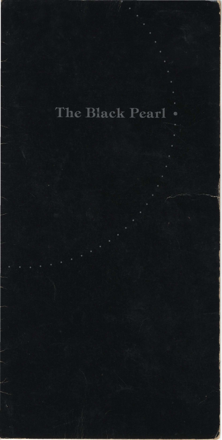The Black Pearl